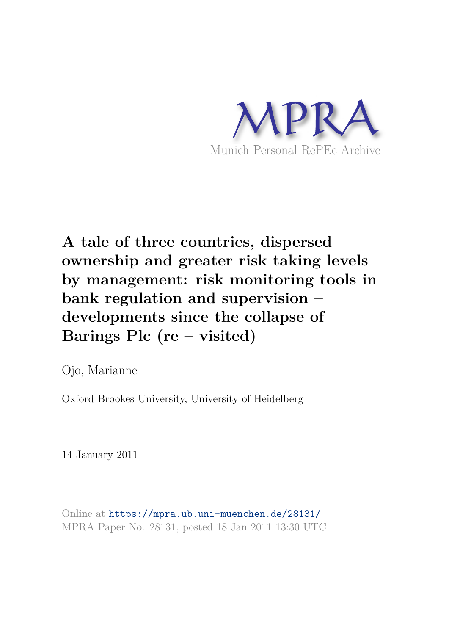

# **A tale of three countries, dispersed ownership and greater risk taking levels by management: risk monitoring tools in bank regulation and supervision – developments since the collapse of Barings Plc (re – visited)**

Ojo, Marianne

Oxford Brookes University, University of Heidelberg

14 January 2011

Online at https://mpra.ub.uni-muenchen.de/28131/ MPRA Paper No. 28131, posted 18 Jan 2011 13:30 UTC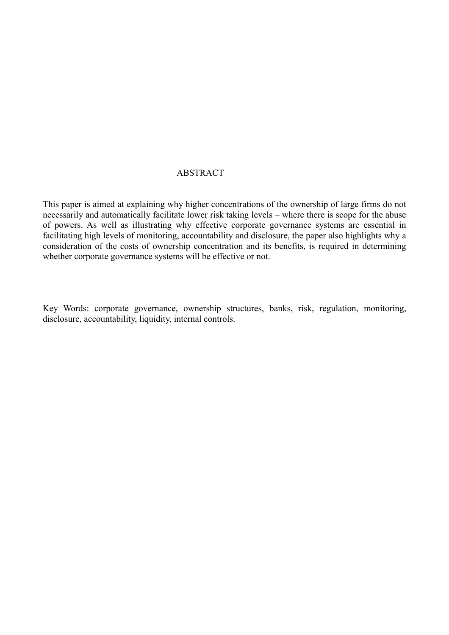# ABSTRACT

This paper is aimed at explaining why higher concentrations of the ownership of large firms do not necessarily and automatically facilitate lower risk taking levels – where there is scope for the abuse of powers. As well as illustrating why effective corporate governance systems are essential in facilitating high levels of monitoring, accountability and disclosure, the paper also highlights why a consideration of the costs of ownership concentration and its benefits, is required in determining whether corporate governance systems will be effective or not.

Key Words: corporate governance, ownership structures, banks, risk, regulation, monitoring, disclosure, accountability, liquidity, internal controls.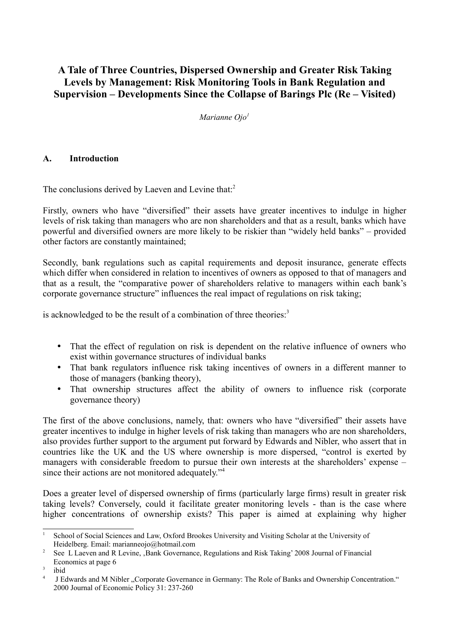# **A Tale of Three Countries, Dispersed Ownership and Greater Risk Taking Levels by Management: Risk Monitoring Tools in Bank Regulation and Supervision – Developments Since the Collapse of Barings Plc (Re – Visited)**

*Marianne Ojo<sup>1</sup>*

## **A. Introduction**

The conclusions derived by Laeven and Levine that:<sup>2</sup>

Firstly, owners who have "diversified" their assets have greater incentives to indulge in higher levels of risk taking than managers who are non shareholders and that as a result, banks which have powerful and diversified owners are more likely to be riskier than "widely held banks" – provided other factors are constantly maintained;

Secondly, bank regulations such as capital requirements and deposit insurance, generate effects which differ when considered in relation to incentives of owners as opposed to that of managers and that as a result, the "comparative power of shareholders relative to managers within each bank's corporate governance structure" influences the real impact of regulations on risk taking;

is acknowledged to be the result of a combination of three theories:<sup>3</sup>

- That the effect of regulation on risk is dependent on the relative influence of owners who exist within governance structures of individual banks
- That bank regulators influence risk taking incentives of owners in a different manner to those of managers (banking theory),
- That ownership structures affect the ability of owners to influence risk (corporate governance theory)

The first of the above conclusions, namely, that: owners who have "diversified" their assets have greater incentives to indulge in higher levels of risk taking than managers who are non shareholders, also provides further support to the argument put forward by Edwards and Nibler, who assert that in countries like the UK and the US where ownership is more dispersed, "control is exerted by managers with considerable freedom to pursue their own interests at the shareholders' expense – since their actions are not monitored adequately."<sup>4</sup>

Does a greater level of dispersed ownership of firms (particularly large firms) result in greater risk taking levels? Conversely, could it facilitate greater monitoring levels - than is the case where higher concentrations of ownership exists? This paper is aimed at explaining why higher

<sup>&</sup>lt;sup>1</sup> School of Social Sciences and Law, Oxford Brookes University and Visiting Scholar at the University of Heidelberg. Email: marianneojo@hotmail.com

<sup>&</sup>lt;sup>2</sup> See L Laeven and R Levine, Bank Governance, Regulations and Risk Taking' 2008 Journal of Financial Economics at page 6

<sup>3</sup> ibid

<sup>4</sup> J Edwards and M Nibler "Corporate Governance in Germany: The Role of Banks and Ownership Concentration." 2000 Journal of Economic Policy 31: 237-260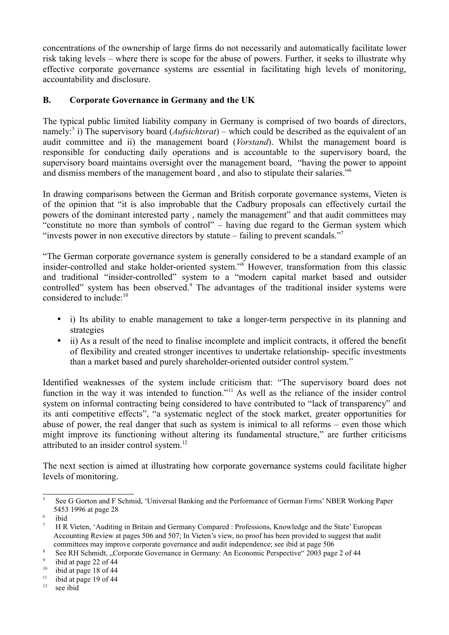concentrations of the ownership of large firms do not necessarily and automatically facilitate lower risk taking levels – where there is scope for the abuse of powers. Further, it seeks to illustrate why effective corporate governance systems are essential in facilitating high levels of monitoring, accountability and disclosure.

# **B. Corporate Governance in Germany and the UK**

The typical public limited liability company in Germany is comprised of two boards of directors, namely:<sup>5</sup> i) The supervisory board (*Aufsichtsrat*) – which could be described as the equivalent of an audit committee and ii) the management board (*Vorstand*). Whilst the management board is responsible for conducting daily operations and is accountable to the supervisory board, the supervisory board maintains oversight over the management board, "having the power to appoint and dismiss members of the management board , and also to stipulate their salaries."<sup>6</sup>

In drawing comparisons between the German and British corporate governance systems, Vieten is of the opinion that "it is also improbable that the Cadbury proposals can effectively curtail the powers of the dominant interested party , namely the management" and that audit committees may "constitute no more than symbols of control" – having due regard to the German system which "invests power in non executive directors by statute – failing to prevent scandals."<sup>7</sup>

"The German corporate governance system is generally considered to be a standard example of an insider-controlled and stake holder-oriented system."<sup>8</sup> However, transformation from this classic and traditional "insider-controlled" system to a "modern capital market based and outsider controlled" system has been observed.<sup>9</sup> The advantages of the traditional insider systems were considered to include:<sup>10</sup>

- i) Its ability to enable management to take a longer-term perspective in its planning and strategies
- ii) As a result of the need to finalise incomplete and implicit contracts, it offered the benefit of flexibility and created stronger incentives to undertake relationship- specific investments than a market based and purely shareholder-oriented outsider control system."

Identified weaknesses of the system include criticism that: "The supervisory board does not function in the way it was intended to function."<sup>11</sup> As well as the reliance of the insider control system on informal contracting being considered to have contributed to "lack of transparency" and its anti competitive effects", "a systematic neglect of the stock market, greater opportunities for abuse of power, the real danger that such as system is inimical to all reforms – even those which might improve its functioning without altering its fundamental structure," are further criticisms attributed to an insider control system.<sup>12</sup>

The next section is aimed at illustrating how corporate governance systems could facilitate higher levels of monitoring.

<sup>5</sup> See G Gorton and F Schmid, 'Universal Banking and the Performance of German Firms' NBER Working Paper 5453 1996 at page 28

<sup>6</sup> ibid

<sup>7</sup> H R Vieten, 'Auditing in Britain and Germany Compared : Professions, Knowledge and the State' European Accounting Review at pages 506 and 507; In Vieten's view, no proof has been provided to suggest that audit committees may improve corporate governance and audit independence; see ibid at page 506

<sup>8</sup> See RH Schmidt, "Corporate Governance in Germany: An Economic Perspective" 2003 page 2 of 44

 $\mathbf{Q}$ ibid at page 22 of 44

<sup>&</sup>lt;sup>10</sup> ibid at page 18 of 44<br><sup>11</sup> ibid at page 19 of 44

ibid at page 19 of 44

<sup>&</sup>lt;sup>12</sup> see ibid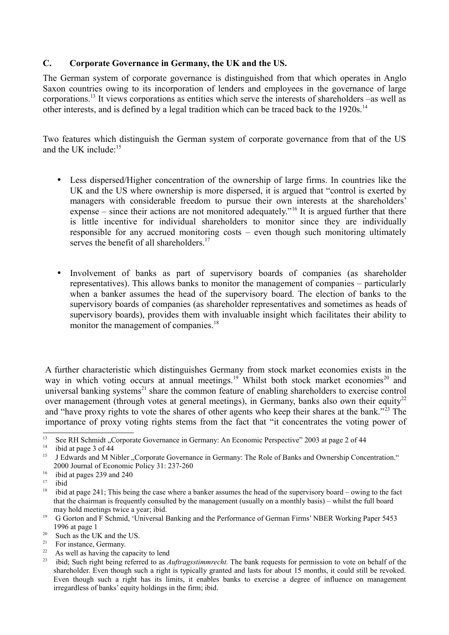#### **C. Corporate Governance in Germany, the UK and the US.**

The German system of corporate governance is distinguished from that which operates in Anglo Saxon countries owing to its incorporation of lenders and employees in the governance of large corporations.<sup>13</sup> It views corporations as entities which serve the interests of shareholders –as well as other interests, and is defined by a legal tradition which can be traced back to the 1920s.<sup>14</sup>

Two features which distinguish the German system of corporate governance from that of the US and the UK include: $15$ 

- Less dispersed/Higher concentration of the ownership of large firms. In countries like the UK and the US where ownership is more dispersed, it is argued that "control is exerted by managers with considerable freedom to pursue their own interests at the shareholders' expense – since their actions are not monitored adequately."<sup>16</sup> It is argued further that there is little incentive for individual shareholders to monitor since they are individually responsible for any accrued monitoring costs – even though such monitoring ultimately serves the benefit of all shareholders.<sup>17</sup>
- Involvement of banks as part of supervisory boards of companies (as shareholder representatives). This allows banks to monitor the management of companies – particularly when a banker assumes the head of the supervisory board. The election of banks to the supervisory boards of companies (as shareholder representatives and sometimes as heads of supervisory boards), provides them with invaluable insight which facilitates their ability to monitor the management of companies.<sup>18</sup>

A further characteristic which distinguishes Germany from stock market economies exists in the way in which voting occurs at annual meetings.<sup>19</sup> Whilst both stock market economies<sup>20</sup> and universal banking systems<sup>21</sup> share the common feature of enabling shareholders to exercise control over management (through votes at general meetings), in Germany, banks also own their equity<sup>22</sup> and "have proxy rights to vote the shares of other agents who keep their shares at the bank."<sup>23</sup> The importance of proxy voting rights stems from the fact that "it concentrates the voting power of

 $17$  ibid<br> $18$  ibid

- <sup>21</sup> For instance, Germany.
- <sup>22</sup> As well as having the capacity to lend

<sup>&</sup>lt;sup>13</sup> See RH Schmidt "Corporate Governance in Germany: An Economic Perspective" 2003 at page 2 of 44<br><sup>14</sup> ibid at name 2 of 44

<sup>&</sup>lt;sup>14</sup> ibid at page 3 of 44<br><sup>15</sup> LEdwards and M N

<sup>15</sup> J Edwards and M Nibler "Corporate Governance in Germany: The Role of Banks and Ownership Concentration." 2000 Journal of Economic Policy 31: 237-260

<sup>&</sup>lt;sup>16</sup> ibid at pages 239 and 240<br> $\frac{17}{17}$  ibid

<sup>18</sup> ibid at page 241; This being the case where a banker assumes the head of the supervisory board – owing to the fact that the chairman is frequently consulted by the management (usually on a monthly basis) – whilst the full board may hold meetings twice a year; ibid.

<sup>19</sup> G Gorton and F Schmid, 'Universal Banking and the Performance of German Firms' NBER Working Paper 5453 1996 at page 1

 $20$  Such as the UK and the US.

<sup>&</sup>lt;sup>23</sup> ibid; Such right being referred to as *Auftragsstimmrecht*. The bank requests for permission to vote on behalf of the shareholder. Even though such a right is typically granted and lasts for about 15 months, it could still be revoked. Even though such a right has its limits, it enables banks to exercise a degree of influence on management irregardless of banks' equity holdings in the firm; ibid.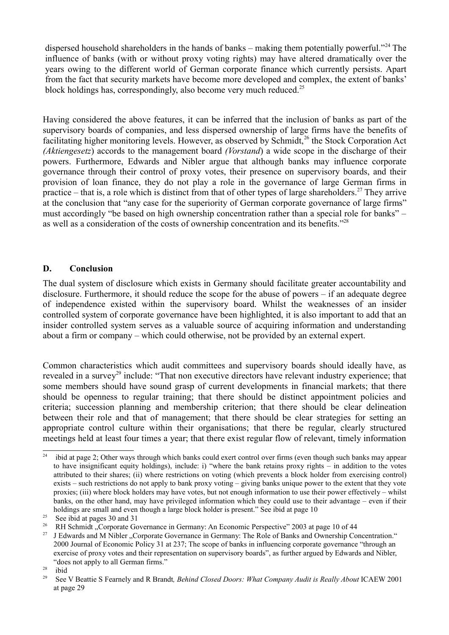dispersed household shareholders in the hands of banks – making them potentially powerful."<sup>24</sup> The influence of banks (with or without proxy voting rights) may have altered dramatically over the years owing to the different world of German corporate finance which currently persists. Apart from the fact that security markets have become more developed and complex, the extent of banks' block holdings has, correspondingly, also become very much reduced.<sup>25</sup>

Having considered the above features, it can be inferred that the inclusion of banks as part of the supervisory boards of companies, and less dispersed ownership of large firms have the benefits of facilitating higher monitoring levels. However, as observed by Schmidt,<sup>26</sup> the Stock Corporation Act *(Aktiengesetz*) accords to the management board *(Vorstand*) a wide scope in the discharge of their powers. Furthermore, Edwards and Nibler argue that although banks may influence corporate governance through their control of proxy votes, their presence on supervisory boards, and their provision of loan finance, they do not play a role in the governance of large German firms in practice – that is, a role which is distinct from that of other types of large shareholders.<sup>27</sup> They arrive at the conclusion that "any case for the superiority of German corporate governance of large firms" must accordingly "be based on high ownership concentration rather than a special role for banks" – as well as a consideration of the costs of ownership concentration and its benefits."<sup>28</sup>

#### **D. Conclusion**

The dual system of disclosure which exists in Germany should facilitate greater accountability and disclosure. Furthermore, it should reduce the scope for the abuse of powers – if an adequate degree of independence existed within the supervisory board. Whilst the weaknesses of an insider controlled system of corporate governance have been highlighted, it is also important to add that an insider controlled system serves as a valuable source of acquiring information and understanding about a firm or company – which could otherwise, not be provided by an external expert.

Common characteristics which audit committees and supervisory boards should ideally have, as revealed in a survey<sup>29</sup> include: "That non executive directors have relevant industry experience; that some members should have sound grasp of current developments in financial markets; that there should be openness to regular training; that there should be distinct appointment policies and criteria; succession planning and membership criterion; that there should be clear delineation between their role and that of management; that there should be clear strategies for setting an appropriate control culture within their organisations; that there be regular, clearly structured meetings held at least four times a year; that there exist regular flow of relevant, timely information

<sup>&</sup>lt;sup>24</sup> ibid at page 2; Other ways through which banks could exert control over firms (even though such banks may appear to have insignificant equity holdings), include: i) "where the bank retains proxy rights – in addition to the votes attributed to their shares; (ii) where restrictions on voting (which prevents a block holder from exercising control) exists – such restrictions do not apply to bank proxy voting – giving banks unique power to the extent that they vote proxies; (iii) where block holders may have votes, but not enough information to use their power effectively – whilst banks, on the other hand, may have privileged information which they could use to their advantage – even if their holdings are small and even though a large block holder is present." See ibid at page 10

<sup>&</sup>lt;sup>25</sup> See ibid at pages 30 and 31

<sup>&</sup>lt;sup>26</sup> RH Schmidt "Corporate Governance in Germany: An Economic Perspective" 2003 at page 10 of 44

<sup>27</sup> J Edwards and M Nibler "Corporate Governance in Germany: The Role of Banks and Ownership Concentration." 2000 Journal of Economic Policy 31 at 237; The scope of banks in influencing corporate governance "through an exercise of proxy votes and their representation on supervisory boards", as further argued by Edwards and Nibler, "does not apply to all German firms."

 $rac{28}{29}$  ibid

<sup>29</sup> See V Beattie S Fearnely and R Brandt*, Behind Closed Doors: What Company Audit is Really About* ICAEW 2001 at page 29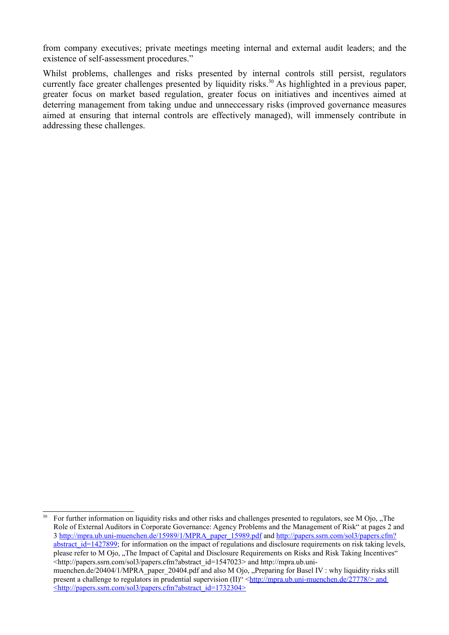from company executives; private meetings meeting internal and external audit leaders; and the existence of self-assessment procedures."

Whilst problems, challenges and risks presented by internal controls still persist, regulators currently face greater challenges presented by liquidity risks.<sup>30</sup> As highlighted in a previous paper, greater focus on market based regulation, greater focus on initiatives and incentives aimed at deterring management from taking undue and unneccessary risks (improved governance measures aimed at ensuring that internal controls are effectively managed), will immensely contribute in addressing these challenges.

For further information on liquidity risks and other risks and challenges presented to regulators, see M Ojo, "The Role of External Auditors in Corporate Governance: Agency Problems and the Management of Risk" at pages 2 and 3 http://mpra.ub.uni-muenchen.de/15989/1/MPRA\_paper\_15989.pdf and http://papers.ssrn.com/sol3/papers.cfm? abstract  $id=1427899$ ; for information on the impact of regulations and disclosure requirements on risk taking levels, please refer to M Ojo, "The Impact of Capital and Disclosure Requirements on Risks and Risk Taking Incentives" <http://papers.ssrn.com/sol3/papers.cfm?abstract\_id=1547023> and http://mpra.ub.unimuenchen.de/20404/1/MPRA\_paper\_20404.pdf and also M Ojo, "Preparing for Basel IV : why liquidity risks still present a challenge to regulators in prudential supervision (II)" < $\frac{h_{\text{t}}}{h_{\text{t}}(h_{\text{t}})}$  = muenchen.de/27778/> and  $\leq$ http://papers.ssrn.com/sol3/papers.cfm?abstract\_id=1732304>